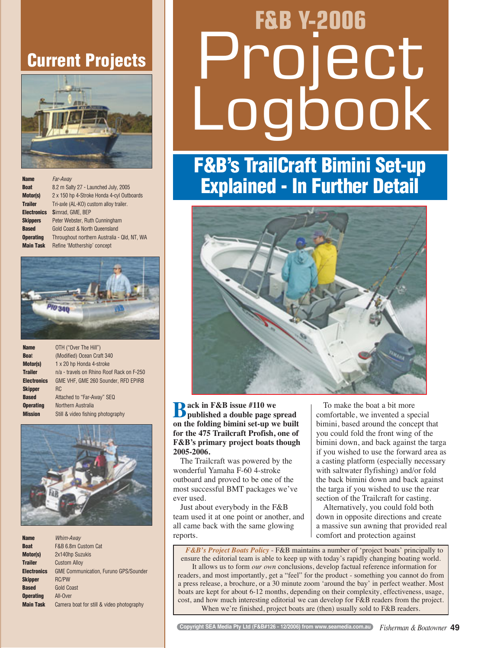## **Current Projects**



| <b>Name</b>        | Far-Away                                    |
|--------------------|---------------------------------------------|
| <b>Boat</b>        | 8.2 m Salty 27 - Launched July, 2005        |
| <b>Motor(s)</b>    | 2 x 150 hp 4-Stroke Honda 4-cyl Outboards   |
| <b>Trailer</b>     | Tri-axle (AL-KO) custom alloy trailer.      |
| <b>Electronics</b> | Simrad. GME. BEP                            |
| <b>Skippers</b>    | Peter Webster, Ruth Cunningham              |
| <b>Based</b>       | <b>Gold Coast &amp; North Queensland</b>    |
| <b>Operating</b>   | Throughout northern Australia - Qld, NT, WA |
| <b>Main Task</b>   | Refine 'Mothership' concept                 |



| <b>Name</b>        | OTH ("Over The Hill")                     |
|--------------------|-------------------------------------------|
| <b>Boat</b>        | (Modified) Ocean Craft 340                |
| Motor(s)           | 1 x 20 hp Honda 4-stroke                  |
| <b>Trailer</b>     | n/a - travels on Rhino Roof Rack on F-250 |
| <b>Electronics</b> | GME VHF, GME 260 Sounder, RFD EPIRB       |
| <b>Skipper</b>     | <b>RC</b>                                 |
| <b>Based</b>       | Attached to "Far-Away" SEQ                |
| <b>Operating</b>   | Northern Australia                        |
| <b>Mission</b>     | Still & video fishing photography         |



| <b>Name</b>      | Whim-Away                                    |
|------------------|----------------------------------------------|
| <b>Boat</b>      | F&B 6.8m Custom Cat                          |
| Motor(s)         | 2x140hp Suzukis                              |
| <b>Trailer</b>   | <b>Custom Alloy</b>                          |
| Electronics      | <b>GME Communication, Furuno GPS/Sounder</b> |
| Skipper          | <b>RC/PW</b>                                 |
| Based            | <b>Gold Coast</b>                            |
| <b>Operating</b> | All-Over                                     |
| <b>Main Task</b> | Camera boat for still & video photography    |

# **F&B Y-2006**  ect Logbook

## **F&B's TrailCraft Bimini Set-up Explained - In Further Detail**



**Back in F&B issue #110 we published a double page spread on the folding bimini set-up we built for the 475 Trailcraft Profish, one of F&B's primary project boats though 2005-2006.**

The Trailcraft was powered by the wonderful Yamaha F-60 4-stroke outboard and proved to be one of the most successful BMT packages we've ever used.

Just about everybody in the F&B team used it at one point or another, and all came back with the same glowing reports.

To make the boat a bit more comfortable, we invented a special bimini, based around the concept that you could fold the front wing of the bimini down, and back against the targa if you wished to use the forward area as a casting platform (especially necessary with saltwater flyfishing) and/or fold the back bimini down and back against the targa if you wished to use the rear section of the Trailcraft for casting.

Alternatively, you could fold both down in opposite directions and create a massive sun awning that provided real comfort and protection against

*F&B's Project Boats Policy* - F&B maintains a number of 'project boats' principally to ensure the editorial team is able to keep up with today's rapidly changing boating world. It allows us to form *our own* conclusions, develop factual reference information for readers, and most importantly, get a "feel" for the product - something you cannot do from a press release, a brochure, or a 30 minute zoom 'around the bay' in perfect weather. Most boats are kept for about 6-12 months, depending on their complexity, effectiveness, usage, cost, and how much interesting editorial we can develop for F&B readers from the project. When we're finished, project boats are (then) usually sold to F&B readers.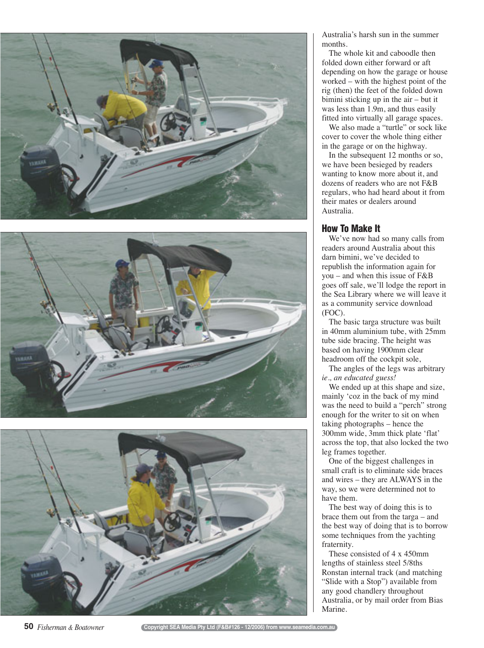





Australia's harsh sun in the summer months.

The whole kit and caboodle then folded down either forward or aft depending on how the garage or house worked – with the highest point of the rig (then) the feet of the folded down bimini sticking up in the air – but it was less than 1.9m, and thus easily fitted into virtually all garage spaces.

We also made a "turtle" or sock like cover to cover the whole thing either in the garage or on the highway.

In the subsequent 12 months or so, we have been besieged by readers wanting to know more about it, and dozens of readers who are not F&B regulars, who had heard about it from their mates or dealers around Australia.

### **How To Make It**

We've now had so many calls from readers around Australia about this darn bimini, we've decided to republish the information again for you – and when this issue of F&B goes off sale, we'll lodge the report in the Sea Library where we will leave it as a community service download (FOC).

The basic targa structure was built in 40mm aluminium tube, with 25mm tube side bracing. The height was based on having 1900mm clear headroom off the cockpit sole,

The angles of the legs was arbitrary *ie., an educated guess!* 

We ended up at this shape and size, mainly 'coz in the back of my mind was the need to build a "perch" strong enough for the writer to sit on when taking photographs – hence the 300mm wide, 3mm thick plate 'flat' across the top, that also locked the two leg frames together.

One of the biggest challenges in small craft is to eliminate side braces and wires – they are ALWAYS in the way, so we were determined not to have them.

The best way of doing this is to brace them out from the targa – and the best way of doing that is to borrow some techniques from the yachting fraternity.

These consisted of 4 x 450mm lengths of stainless steel 5/8ths Ronstan internal track (and matching "Slide with a Stop") available from any good chandlery throughout Australia, or by mail order from Bias Marine.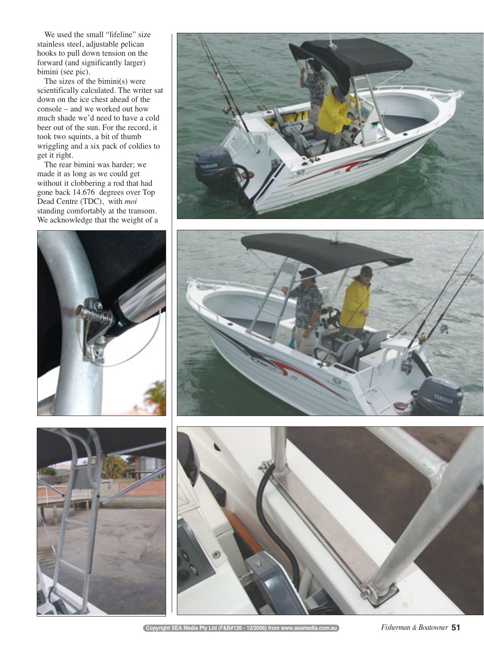We used the small "lifeline" size stainless steel, adjustable pelican hooks to pull down tension on the forward (and significantly larger) bimini (see pic).

The sizes of the bimini(s) were scientifically calculated. The writer sat down on the ice chest ahead of the console – and we worked out how much shade we'd need to have a cold beer out of the sun. For the record, it took two squints, a bit of thumb wriggling and a six pack of coldies to get it right.

The rear bimini was harder; we made it as long as we could get without it clobbering a rod that had gone back 14.676 degrees over Top Dead Centre (TDC), with *moi* standing comfortably at the transom. We acknowledge that the weight of a